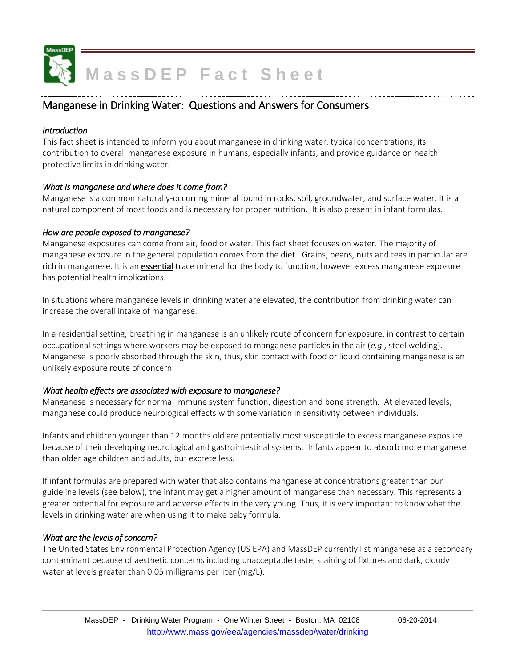

# **MassDEP Fact Sheet**

## Manganese in Drinking Water: Questions and Answers for Consumers

#### *Introduction*

This fact sheet is intended to inform you about manganese in drinking water, typical concentrations, its contribution to overall manganese exposure in humans, especially infants, and provide guidance on health protective limits in drinking water.

#### *What is manganese and where does it come from?*

Manganese is a common naturally-occurring mineral found in rocks, soil, groundwater, and surface water. It is a natural component of most foods and is necessary for proper nutrition. It is also present in infant formulas.

#### *How are people exposed to manganese?*

Manganese exposures can come from air, food or water. This fact sheet focuses on water. The majority of manganese exposure in the general population comes from the diet. Grains, beans, nuts and teas in particular are rich in manganese. It is an **essential** trace mineral for the body to function, however excess manganese exposure has potential health implications.

In situations where manganese levels in drinking water are elevated, the contribution from drinking water can increase the overall intake of manganese.

In a residential setting, breathing in manganese is an unlikely route of concern for exposure, in contrast to certain occupational settings where workers may be exposed to manganese particles in the air (*e.g*., steel welding). Manganese is poorly absorbed through the skin, thus, skin contact with food or liquid containing manganese is an unlikely exposure route of concern.

## *What health effects are associated with exposure to manganese?*

Manganese is necessary for normal immune system function, digestion and bone strength. At elevated levels, manganese could produce neurological effects with some variation in sensitivity between individuals.

Infants and children younger than 12 months old are potentially most susceptible to excess manganese exposure because of their developing neurological and gastrointestinal systems. Infants appear to absorb more manganese than older age children and adults, but excrete less.

If infant formulas are prepared with water that also contains manganese at concentrations greater than our guideline levels (see below), the infant may get a higher amount of manganese than necessary. This represents a greater potential for exposure and adverse effects in the very young. Thus, it is very important to know what the levels in drinking water are when using it to make baby formula.

## *What are the levels of concern?*

The United States Environmental Protection Agency (US EPA) and MassDEP currently list manganese as a secondary contaminant because of aesthetic concerns including unacceptable taste, staining of fixtures and dark, cloudy water at levels greater than 0.05 milligrams per liter (mg/L).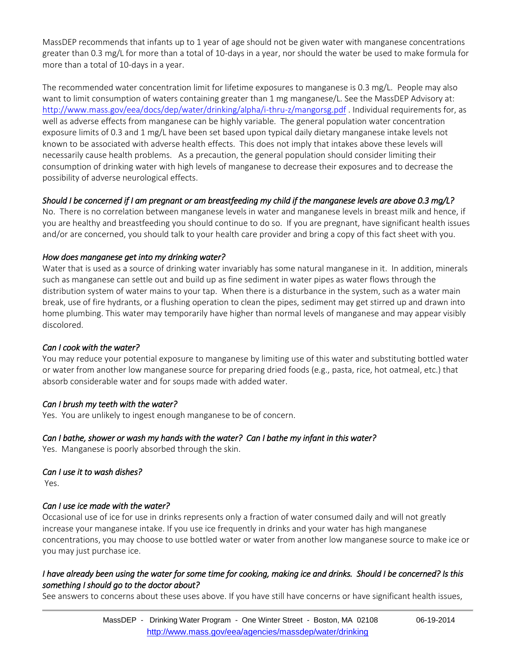MassDEP recommends that infants up to 1 year of age should not be given water with manganese concentrations greater than 0.3 mg/L for more than a total of 10-days in a year, nor should the water be used to make formula for more than a total of 10-days in a year.

The recommended water concentration limit for lifetime exposures to manganese is 0.3 mg/L. People may also want to limit consumption of waters containing greater than 1 mg manganese/L. See the MassDEP Advisory at: <http://www.mass.gov/eea/docs/dep/water/drinking/alpha/i-thru-z/mangorsg.pdf> . Individual requirements for, as well as adverse effects from manganese can be highly variable. The general population water concentration exposure limits of 0.3 and 1 mg/L have been set based upon typical daily dietary manganese intake levels not known to be associated with adverse health effects. This does not imply that intakes above these levels will necessarily cause health problems. As a precaution, the general population should consider limiting their consumption of drinking water with high levels of manganese to decrease their exposures and to decrease the possibility of adverse neurological effects.

## *Should I be concerned if I am pregnant or am breastfeeding my child if the manganese levels are above 0.3 mg/L?*

No. There is no correlation between manganese levels in water and manganese levels in breast milk and hence, if you are healthy and breastfeeding you should continue to do so. If you are pregnant, have significant health issues and/or are concerned, you should talk to your health care provider and bring a copy of this fact sheet with you.

## *How does manganese get into my drinking water?*

Water that is used as a source of drinking water invariably has some natural manganese in it. In addition, minerals such as manganese can settle out and build up as fine sediment in water pipes as water flows through the distribution system of water mains to your tap. When there is a disturbance in the system, such as a water main break, use of fire hydrants, or a flushing operation to clean the pipes, sediment may get stirred up and drawn into home plumbing. This water may temporarily have higher than normal levels of manganese and may appear visibly discolored.

## *Can I cook with the water?*

You may reduce your potential exposure to manganese by limiting use of this water and substituting bottled water or water from another low manganese source for preparing dried foods (e.g., pasta, rice, hot oatmeal, etc.) that absorb considerable water and for soups made with added water.

## *Can I brush my teeth with the water?*

Yes. You are unlikely to ingest enough manganese to be of concern.

## *Can I bathe, shower or wash my hands with the water? Can I bathe my infant in this water?*

Yes. Manganese is poorly absorbed through the skin.

## *Can I use it to wash dishes?*

Yes.

## *Can I use ice made with the water?*

Occasional use of ice for use in drinks represents only a fraction of water consumed daily and will not greatly increase your manganese intake. If you use ice frequently in drinks and your water has high manganese concentrations, you may choose to use bottled water or water from another low manganese source to make ice or you may just purchase ice.

## *I have already been using the water for some time for cooking, making ice and drinks. Should I be concerned? Is this something I should go to the doctor about?*

See answers to concerns about these uses above. If you have still have concerns or have significant health issues,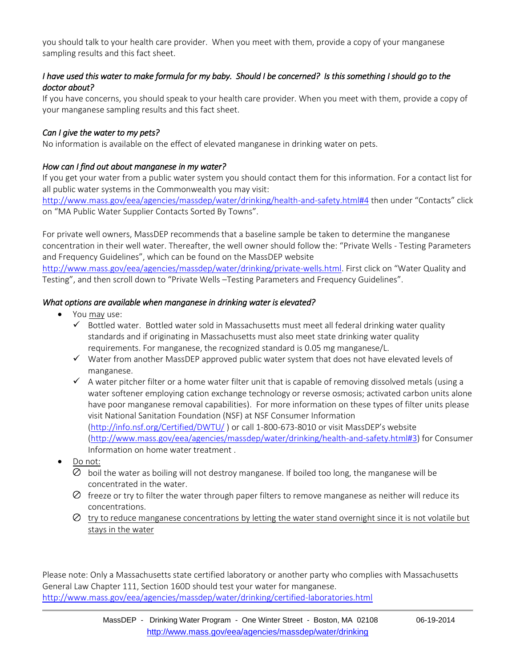you should talk to your [health](file://///Dph-nas/dph3/Center%20for%20Environmental%20Health/Bureau%20for%20Environmental%20Health/Programs/Toxicology/Chem-specific/Manganese/DEP%20Drafts%20and%20Info/June%202014/health) care provider. When you meet with them, provide a copy of your manganese sampling results and this fact sheet.

## *I have used this water to make formula for my baby. Should I be concerned? Is this something I should go to the doctor about?*

If you have concerns, you should speak to your health care provider. When you meet with them, provide a copy of your manganese sampling results and this fact sheet.

## *Can I give the water to my pets?*

No information is available on the effect of elevated manganese in drinking water on pets.

## *How can I find out about manganese in my water?*

If you get your water from a public water system you should contact them for this information. For a contact list for all public water systems in the Commonwealth you may visit:

<http://www.mass.gov/eea/agencies/massdep/water/drinking/health-and-safety.html#4> then under "Contacts" click on "MA Public Water Supplier Contacts Sorted By Towns".

For private well owners, MassDEP recommends that a baseline sample be taken to determine the manganese concentration in their well water. Thereafter, the well owner should follow the: "Private Wells - Testing Parameters and Frequency Guidelines", which can be found on the MassDEP website <http://www.mass.gov/eea/agencies/massdep/water/drinking/private-wells.html>. First click on "Water Quality and Testing", and then scroll down to "Private Wells –Testing Parameters and Frequency Guidelines".

## *What options are available when manganese in drinking water is elevated?*

- You may use:
	- $\checkmark$  Bottled water. Bottled water sold in Massachusetts must meet all federal drinking water quality standards and if originating in Massachusetts must also meet state drinking water quality requirements. For manganese, the recognized standard is 0.05 mg manganese/L.
	- $\checkmark$  Water from another MassDEP approved public water system that does not have elevated levels of manganese.
	- $\checkmark$  A water pitcher filter or a home water filter unit that is capable of removing dissolved metals (using a water softener employing cation exchange technology or reverse osmosis; activated carbon units alone have poor manganese removal capabilities). For more information on these types of filter units please visit National Sanitation Foundation (NSF) at NSF Consumer Information [\(http://info.nsf.org/Certified/DWTU/](http://info.nsf.org/Certified/DWTU/) ) or call 1-800-673-8010 or visit MassDEP's website [\(http://www.mass.gov/eea/agencies/massdep/water/drinking/health-and-safety.html#3\)](http://www.mass.gov/eea/agencies/massdep/water/drinking/health-and-safety.html#3) for Consumer Information on home water treatment .
- Do not:
	- $\emptyset$  boil the water as boiling will not destroy manganese. If boiled too long, the manganese will be concentrated in the water.
	- $\oslash$  freeze or try to filter the water through paper filters to remove manganese as neither will reduce its concentrations.
	- $\heartsuit$  try to reduce manganese concentrations by letting the water stand overnight since it is not volatile but stays in the water

Please note: Only a Massachusetts state certified laboratory or another party who complies with Massachusetts General Law Chapter 111, Section 160D should test your water for manganese. <http://www.mass.gov/eea/agencies/massdep/water/drinking/certified-laboratories.html>